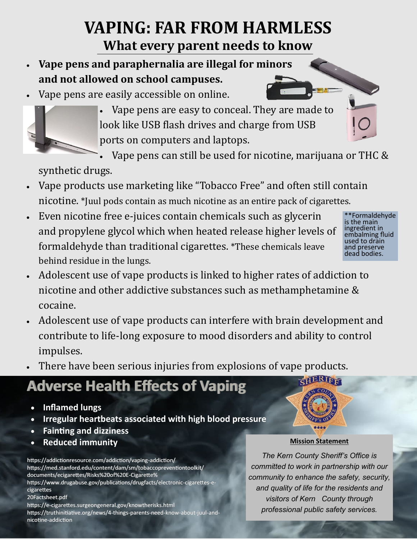## **VAPING: FAR FROM HARMLESS What every parent needs to know**

- **Vape pens and paraphernalia are illegal for minors and not allowed on school campuses.**
- Vape pens are easily accessible on online.



 Vape pens are easy to conceal. They are made to look like USB flash drives and charge from USB ports on computers and laptops.

Vape pens can still be used for nicotine, marijuana or THC &

synthetic drugs.

- Vape products use marketing like "Tobacco Free" and often still contain nicotine. \*Juul pods contain as much nicotine as an entire pack of cigarettes.
- Even nicotine free e-juices contain chemicals such as glycerin and propylene glycol which when heated release higher levels of formaldehyde than traditional cigarettes. \*These chemicals leave behind residue in the lungs.
- \*\*Formaldehyde is the main ingredient in embalming fluid used to drain and preserve dead bodies.
- Adolescent use of vape products is linked to higher rates of addiction to nicotine and other addictive substances such as methamphetamine & cocaine.
- Adolescent use of vape products can interfere with brain development and contribute to life-long exposure to mood disorders and ability to control impulses.
- There have been serious injuries from explosions of vape products.

# **Adverse Health Effects of Vaping**

- **Inflamed lungs**
- **Irregular heartbeats associated with high blood pressure**
- **Fainting and dizziness**
- **Reduced immunity**

https://addictionresource.com/addiction/vaping-addiction/ https://med.stanford.edu/content/dam/sm/tobaccopreventiontoolkit/ documents/ecigarettes/Risks%20of%20E-Cigarette%

https://www.drugabuse.gov/publications/drugfacts/electronic-cigarettes-ecigarettes

20Factsheet.pdf

https://e-cigarettes.surgeongeneral.gov/knowtherisks.html https://truthinitiative.org/news/4-things-parents-need-know-about-juul-andnicotine-addiction

#### **Mission Statement**

*The Kern County Sheriff's Office is committed to work in partnership with our community to enhance the safety, security, and quality of life for the residents and visitors of Kern County through professional public safety services.*